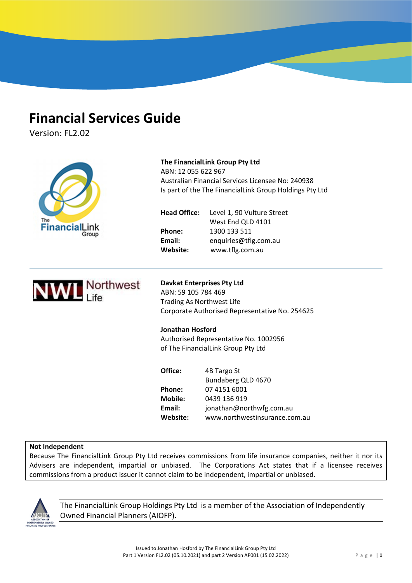# **Financial Services Guide**

Version: FL2.02

|                             | The FinancialLink Group Pty Ltd<br>ABN: 12 055 622 967<br>Australian Financial Services Licensee No: 240938<br>Is part of the The FinancialLink Group Holdings Pty Ltd |                                                 |  |
|-----------------------------|------------------------------------------------------------------------------------------------------------------------------------------------------------------------|-------------------------------------------------|--|
| The<br><b>FinancialLink</b> | <b>Head Office:</b>                                                                                                                                                    | Level 1, 90 Vulture Street<br>West End QLD 4101 |  |
| Group                       | Phone:                                                                                                                                                                 | 1300 133 511                                    |  |
|                             | Email:                                                                                                                                                                 | enquiries@tflg.com.au                           |  |
|                             | Website:                                                                                                                                                               | www.tflg.com.au                                 |  |
| <b>WIL</b> Northwest        | <b>Davkat Enterprises Pty Ltd</b><br>ABN: 59 105 784 469<br>Trading As Northwest Life                                                                                  | Corporate Authorised Representative No. 254625  |  |
|                             | <b>Jonathan Hosford</b>                                                                                                                                                |                                                 |  |
|                             | Authorised Representative No. 1002956                                                                                                                                  |                                                 |  |
|                             |                                                                                                                                                                        | of The FinancialLink Group Pty Ltd              |  |
|                             | Office:                                                                                                                                                                | 4B Targo St<br>Bundaberg QLD 4670               |  |
|                             | Phone:                                                                                                                                                                 | 07 4151 6001                                    |  |
|                             | <b>Mobile:</b>                                                                                                                                                         | 0439 136 919                                    |  |
|                             | Email:                                                                                                                                                                 | jonathan@northwfg.com.au                        |  |
|                             | Website:                                                                                                                                                               | www.northwestinsurance.com.au                   |  |

**FINANCIAL SERVICES GUIDE AND ADVISER PROFILE**

# **Not Independent**

Because The FinancialLink Group Pty Ltd receives commissions from life insurance companies, neither it nor its Advisers are independent, impartial or unbiased. The Corporations Act states that if a licensee receives commissions from a product issuer it cannot claim to be independent, impartial or unbiased.



The FinancialLink Group Holdings Pty Ltd is a member of the Association of Independently Owned Financial Planners (AIOFP).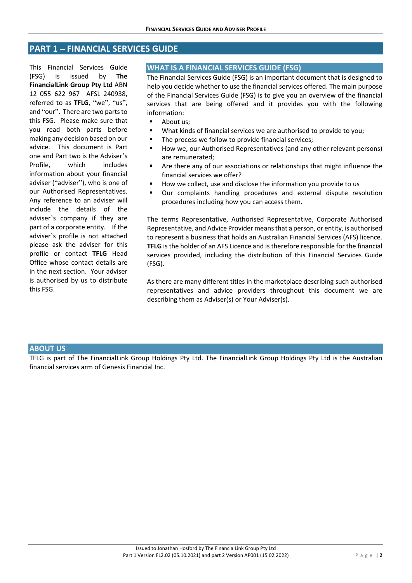# **PART 1 – FINANCIAL SERVICES GUIDE**

This Financial Services Guide (FSG) is issued by **The FinancialLink Group Pty Ltd** ABN 12 055 622 967 AFSL 240938, referred to as **TFLG**, "we", "us", and "our". There are two parts to this FSG. Please make sure that you read both parts before making any decision based on our advice. This document is Part one and Part two is the Adviser's Profile, which includes information about your financial adviser ("adviser"), who is one of our Authorised Representatives. Any reference to an adviser will include the details of the adviser's company if they are part of a corporate entity. If the adviser's profile is not attached please ask the adviser for this profile or contact **TFLG** Head Office whose contact details are in the next section. Your adviser is authorised by us to distribute this FSG.

## **WHAT IS A FINANCIAL SERVICES GUIDE (FSG)**

The Financial Services Guide (FSG) is an important document that is designed to help you decide whether to use the financial services offered. The main purpose of the Financial Services Guide (FSG) is to give you an overview of the financial services that are being offered and it provides you with the following information:

- **About us:**
- What kinds of financial services we are authorised to provide to you;
- The process we follow to provide financial services;
- How we, our Authorised Representatives (and any other relevant persons) are remunerated;
- Are there any of our associations or relationships that might influence the financial services we offer?
- How we collect, use and disclose the information you provide to us
- Our complaints handling procedures and external dispute resolution procedures including how you can access them.

The terms Representative, Authorised Representative, Corporate Authorised Representative, and Advice Provider meansthat a person, or entity, is authorised to represent a business that holds an Australian Financial Services (AFS) licence. **TFLG** is the holder of an AFS Licence and is therefore responsible for the financial services provided, including the distribution of this Financial Services Guide (FSG).

As there are many different titles in the marketplace describing such authorised representatives and advice providers throughout this document we are describing them as Adviser(s) or Your Adviser(s).

#### **ABOUT US**

TFLG is part of The FinancialLink Group Holdings Pty Ltd. The FinancialLink Group Holdings Pty Ltd is the Australian financial services arm of Genesis Financial Inc.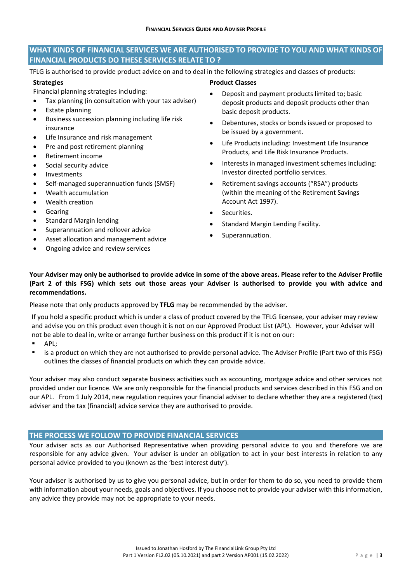# **WHAT KINDS OF FINANCIAL SERVICES WE ARE AUTHORISED TO PROVIDE TO YOU AND WHAT KINDS OF FINANCIAL PRODUCTS DO THESE SERVICES RELATE TO ?**

TFLG is authorised to provide product advice on and to deal in the following strategies and classes of products:

## **Strategies**

- Financial planning strategies including:
- Tax planning (in consultation with your tax adviser)
- Estate planning
- Business succession planning including life risk insurance
- Life Insurance and risk management
- Pre and post retirement planning
- Retirement income
- Social security advice
- Investments
- Self‐managed superannuation funds (SMSF)
- Wealth accumulation
- Wealth creation
- Gearing
- Standard Margin lending
- Superannuation and rollover advice
- Asset allocation and management advice
- Ongoing advice and review services
- **Product Classes**
- Deposit and payment products limited to; basic deposit products and deposit products other than basic deposit products.
- Debentures, stocks or bonds issued or proposed to be issued by a government.
- Life Products including: Investment Life Insurance Products, and Life Risk Insurance Products.
- Interests in managed investment schemes including: Investor directed portfolio services.
- Retirement savings accounts ("RSA") products (within the meaning of the Retirement Savings Account Act 1997).
- Securities.
- Standard Margin Lending Facility.
- Superannuation.

## Your Adviser may only be authorised to provide advice in some of the above areas. Please refer to the Adviser Profile (Part 2 of this FSG) which sets out those areas your Adviser is authorised to provide you with advice and **recommendations.**

Please note that only products approved by **TFLG** may be recommended by the adviser.

If you hold a specific product which is under a class of product covered by the TFLG licensee, your adviser may review and advise you on this product even though it is not on our Approved Product List (APL). However, your Adviser will not be able to deal in, write or arrange further business on this product if it is not on our:

- **APL:**
- is a product on which they are not authorised to provide personal advice. The Adviser Profile (Part two of this FSG) outlines the classes of financial products on which they can provide advice.

Your adviser may also conduct separate business activities such as accounting, mortgage advice and other services not provided under our licence. We are only responsible for the financial products and services described in this FSG and on our APL. From 1 July 2014, new regulation requires your financial adviser to declare whether they are a registered (tax) adviser and the tax (financial) advice service they are authorised to provide.

## **THE PROCESS WE FOLLOW TO PROVIDE FINANCIAL SERVICES**

Your adviser acts as our Authorised Representative when providing personal advice to you and therefore we are responsible for any advice given. Your adviser is under an obligation to act in your best interests in relation to any personal advice provided to you (known as the 'best interest duty').

Your adviser is authorised by us to give you personal advice, but in order for them to do so, you need to provide them with information about your needs, goals and objectives. If you choose not to provide your adviser with this information, any advice they provide may not be appropriate to your needs.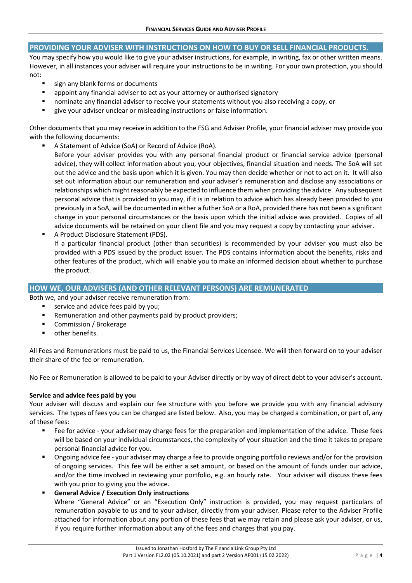## **PROVIDING YOUR ADVISER WITH INSTRUCTIONS ON HOW TO BUY OR SELL FINANCIAL PRODUCTS.**

You may specify how you would like to give your adviser instructions, for example, in writing, fax or other written means. However, in all instances your adviser will require your instructions to be in writing. For your own protection, you should not:

- sign any blank forms or documents
- appoint any financial adviser to act as your attorney or authorised signatory
- nominate any financial adviser to receive your statements without you also receiving a copy, or
- give your adviser unclear or misleading instructions or false information.

Other documents that you may receive in addition to the FSG and Adviser Profile, your financial adviser may provide you with the following documents:

A Statement of Advice (SoA) or Record of Advice (RoA).

Before your adviser provides you with any personal financial product or financial service advice (personal advice), they will collect information about you, your objectives, financial situation and needs. The SoA will set out the advice and the basis upon which it is given. You may then decide whether or not to act on it. It will also set out information about our remuneration and your adviser's remuneration and disclose any associations or relationships which might reasonably be expected to influence them when providing the advice. Any subsequent personal advice that is provided to you may, if it is in relation to advice which has already been provided to you previously in a SoA, will be documented in either a futher SoA or a RoA, provided there has not been a significant change in your personal circumstances or the basis upon which the initial advice was provided. Copies of all advice documents will be retained on your client file and you may request a copy by contacting your adviser.

 A Product Disclosure Statement (PDS). If a particular financial product (other than securities) is recommended by your adviser you must also be provided with a PDS issued by the product issuer. The PDS contains information about the benefits, risks and other features of the product, which will enable you to make an informed decision about whether to purchase the product.

## **HOW WE, OUR ADVISERS (AND OTHER RELEVANT PERSONS) ARE REMUNERATED**

Both we, and your adviser receive remuneration from:

- service and advice fees paid by you;
- Remuneration and other payments paid by product providers;
- Commission / Brokerage
- other benefits.

All Fees and Remunerations must be paid to us, the Financial Services Licensee. We will then forward on to your adviser their share of the fee or remuneration.

No Fee or Remuneration is allowed to be paid to your Adviser directly or by way of direct debt to your adviser's account.

## **Service and advice fees paid by you**

Your adviser will discuss and explain our fee structure with you before we provide you with any financial advisory services. The types of fees you can be charged are listed below. Also, you may be charged a combination, or part of, any of these fees:

- Fee for advice your adviser may charge fees for the preparation and implementation of the advice. These fees will be based on your individual circumstances, the complexity of your situation and the time it takes to prepare personal financial advice for you.
- Ongoing advice fee your adviser may charge a fee to provide ongoing portfolio reviews and/or for the provision of ongoing services. This fee will be either a set amount, or based on the amount of funds under our advice, and/or the time involved in reviewing your portfolio, e.g. an hourly rate. Your adviser will discuss these fees with you prior to giving you the advice.
- **General Advice / Execution Only instructions**

Where "General Advice" or an "Execution Only" instruction is provided, you may request particulars of remuneration payable to us and to your adviser, directly from your adviser. Please refer to the Adviser Profile attached for information about any portion of these fees that we may retain and please ask your adviser, or us, if you require further information about any of the fees and charges that you pay.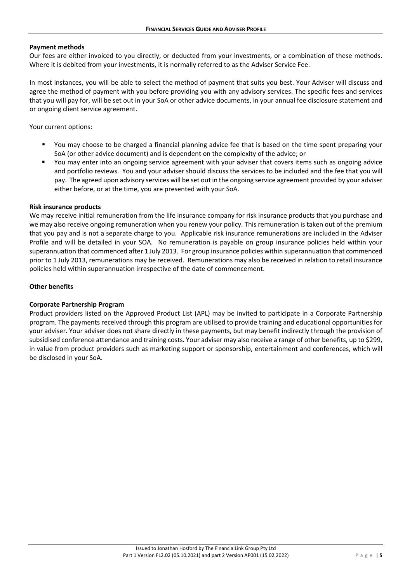#### **Payment methods**

Our fees are either invoiced to you directly, or deducted from your investments, or a combination of these methods. Where it is debited from your investments, it is normally referred to as the Adviser Service Fee.

In most instances, you will be able to select the method of payment that suits you best. Your Adviser will discuss and agree the method of payment with you before providing you with any advisory services. The specific fees and services that you will pay for, will be set out in your SoA or other advice documents, in your annual fee disclosure statement and or ongoing client service agreement.

Your current options:

- You may choose to be charged a financial planning advice fee that is based on the time spent preparing your SoA (or other advice document) and is dependent on the complexity of the advice; or
- You may enter into an ongoing service agreement with your adviser that covers items such as ongoing advice and portfolio reviews. You and your adviser should discuss the services to be included and the fee that you will pay. The agreed upon advisory services will be set out in the ongoing service agreement provided by your adviser either before, or at the time, you are presented with your SoA.

#### **Risk insurance products**

We may receive initial remuneration from the life insurance company for risk insurance products that you purchase and we may also receive ongoing remuneration when you renew your policy. This remuneration is taken out of the premium that you pay and is not a separate charge to you. Applicable risk insurance remunerations are included in the Adviser Profile and will be detailed in your SOA. No remuneration is payable on group insurance policies held within your superannuation that commenced after 1 July 2013. For group insurance policies within superannuation that commenced prior to 1 July 2013, remunerations may be received. Remunerations may also be received in relation to retail insurance policies held within superannuation irrespective of the date of commencement.

#### **Other benefits**

#### **Corporate Partnership Program**

Product providers listed on the Approved Product List (APL) may be invited to participate in a Corporate Partnership program. The payments received through this program are utilised to provide training and educational opportunities for your adviser. Your adviser does not share directly in these payments, but may benefit indirectly through the provision of subsidised conference attendance and training costs. Your adviser may also receive a range of other benefits, up to \$299, in value from product providers such as marketing support or sponsorship, entertainment and conferences, which will be disclosed in your SoA.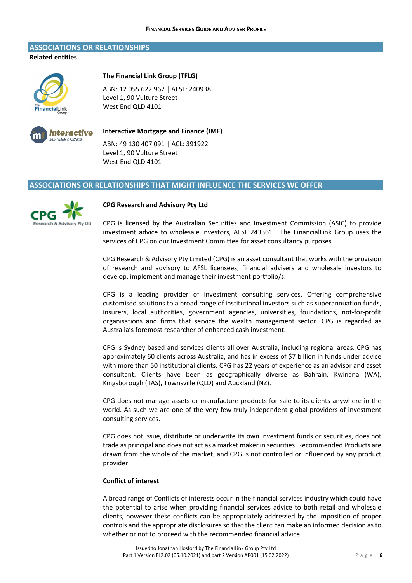#### **ASSOCIATIONS OR RELATIONSHIPS**

**Related entities**



#### **The Financial Link Group (TFLG)**

ABN: 12 055 622 967 | AFSL: 240938 Level 1, 90 Vulture Street West End QLD 4101



## **Interactive Mortgage and Finance (IMF)**

ABN: 49 130 407 091 | ACL: 391922 Level 1, 90 Vulture Street West End QLD 4101

#### **ASSOCIATIONS OR RELATIONSHIPS THAT MIGHT INFLUENCE THE SERVICES WE OFFER**



#### **CPG Research and Advisory Pty Ltd**

CPG is licensed by the Australian Securities and Investment Commission (ASIC) to provide investment advice to wholesale investors, AFSL 243361. The FinancialLink Group uses the services of CPG on our Investment Committee for asset consultancy purposes.

CPG Research & Advisory Pty Limited (CPG) is an asset consultant that works with the provision of research and advisory to AFSL licensees, financial advisers and wholesale investors to develop, implement and manage their investment portfolio/s.

CPG is a leading provider of investment consulting services. Offering comprehensive customised solutions to a broad range of institutional investors such as superannuation funds, insurers, local authorities, government agencies, universities, foundations, not‐for‐profit organisations and firms that service the wealth management sector. CPG is regarded as Australia's foremost researcher of enhanced cash investment.

CPG is Sydney based and services clients all over Australia, including regional areas. CPG has approximately 60 clients across Australia, and has in excess of \$7 billion in funds under advice with more than 50 institutional clients. CPG has 22 years of experience as an advisor and asset consultant. Clients have been as geographically diverse as Bahrain, Kwinana (WA), Kingsborough (TAS), Townsville (QLD) and Auckland (NZ).

CPG does not manage assets or manufacture products for sale to its clients anywhere in the world. As such we are one of the very few truly independent global providers of investment consulting services.

CPG does not issue, distribute or underwrite its own investment funds or securities, does not trade as principal and does not act as a market maker in securities. Recommended Products are drawn from the whole of the market, and CPG is not controlled or influenced by any product provider.

## **Conflict of interest**

A broad range of Conflicts of interests occur in the financial services industry which could have the potential to arise when providing financial services advice to both retail and wholesale clients, however these conflicts can be appropriately addressed by the imposition of proper controls and the appropriate disclosures so that the client can make an informed decision as to whether or not to proceed with the recommended financial advice.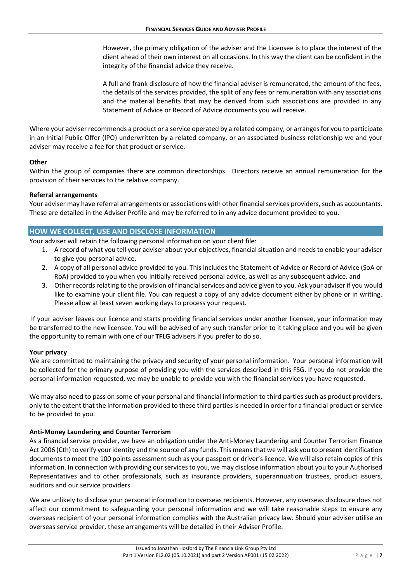However, the primary obligation of the adviser and the Licensee is to place the interest of the client ahead of their own interest on all occasions. In this way the client can be confident in the integrity of the financial advice they receive.

A full and frank disclosure of how the financial adviser is remunerated, the amount of the fees, the details of the services provided, the split of any fees or remuneration with any associations and the material benefits that may be derived from such associations are provided in any Statement of Advice or Record of Advice documents you will receive.

Where your adviser recommends a product or a service operated by a related company, or arranges for you to participate in an Initial Public Offer (IPO) underwritten by a related company, or an associated business relationship we and your adviser may receive a fee for that product or service.

#### **Other**

Within the group of companies there are common directorships. Directors receive an annual remuneration for the provision of their services to the relative company.

#### **Referral arrangements**

Your adviser may have referral arrangements or associations with other financial services providers, such as accountants. These are detailed in the Adviser Profile and may be referred to in any advice document provided to you.

## **HOW WE COLLECT, USE AND DISCLOSE INFORMATION**

Your adviser will retain the following personal information on your client file:

- 1. A record of what you tell your adviser about your objectives, financial situation and needsto enable your adviser to give you personal advice.
- 2. A copy of all personal advice provided to you. This includes the Statement of Advice or Record of Advice (SoA or RoA) provided to you when you initially received personal advice, as well as any subsequent advice. and
- 3. Other records relating to the provision of financial services and advice given to you. Ask your adviser if you would like to examine your client file. You can request a copy of any advice document either by phone or in writing. Please allow at least seven working days to process your request.

If your adviser leaves our licence and starts providing financial services under another licensee, your information may be transferred to the new licensee. You will be advised of any such transfer prior to it taking place and you will be given the opportunity to remain with one of our **TFLG** advisers if you prefer to do so.

## **Your privacy**

We are committed to maintaining the privacy and security of your personal information. Your personal information will be collected for the primary purpose of providing you with the services described in this FSG. If you do not provide the personal information requested, we may be unable to provide you with the financial services you have requested.

We may also need to pass on some of your personal and financial information to third parties such as product providers, only to the extent that the information provided to these third partiesis needed in order for a financial product orservice to be provided to you.

## **Anti‐Money Laundering and Counter Terrorism**

As a financial service provider, we have an obligation under the Anti‐Money Laundering and Counter Terrorism Finance Act 2006 (Cth) to verify your identity and the source of any funds. This meansthat we will ask you to present identification documents to meet the 100 points assessment such as your passport or driver's licence. We will also retain copies of this information. In connection with providing our services to you, we may disclose information about you to your Authorised Representatives and to other professionals, such as insurance providers, superannuation trustees, product issuers, auditors and our service providers.

We are unlikely to disclose your personal information to overseas recipients. However, any overseas disclosure does not affect our commitment to safeguarding your personal information and we will take reasonable steps to ensure any overseas recipient of your personal information complies with the Australian privacy law. Should your adviser utilise an overseas service provider, these arrangements will be detailed in their Adviser Profile.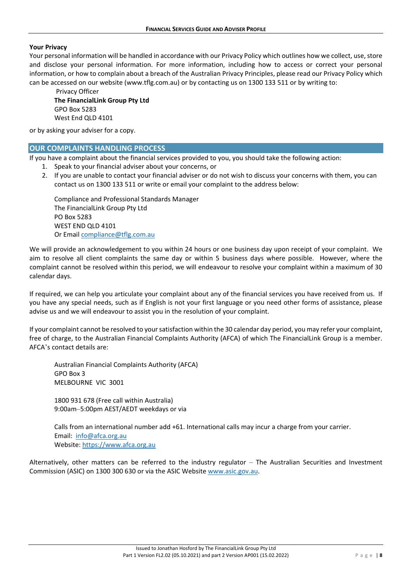#### **Your Privacy**

Your personal information will be handled in accordance with our Privacy Policy which outlines how we collect, use, store and disclose your personal information. For more information, including how to access or correct your personal information, or how to complain about a breach of the Australian Privacy Principles, please read our Privacy Policy which can be accessed on our website (www.tflg.com.au) or by contacting us on 1300 133 511 or by writing to:

Privacy Officer **The FinancialLink Group Pty Ltd** GPO Box 5283 West End QLD 4101

or by asking your adviser for a copy.

## **OUR COMPLAINTS HANDLING PROCESS**

If you have a complaint about the financial services provided to you, you should take the following action:

- 1. Speak to your financial adviser about your concerns, or
- 2. If you are unable to contact your financial adviser or do not wish to discuss your concerns with them, you can contact us on 1300 133 511 or write or email your complaint to the address below:

Compliance and Professional Standards Manager The FinancialLink Group Pty Ltd PO Box 5283 WEST FND OLD 4101 Or Email compliance@tflg.com.au

We will provide an acknowledgement to you within 24 hours or one business day upon receipt of your complaint. We aim to resolve all client complaints the same day or within 5 business days where possible. However, where the complaint cannot be resolved within this period, we will endeavour to resolve your complaint within a maximum of 30 calendar days.

If required, we can help you articulate your complaint about any of the financial services you have received from us. If you have any special needs, such as if English is not your first language or you need other forms of assistance, please advise us and we will endeavour to assist you in the resolution of your complaint.

If your complaint cannot be resolved to yoursatisfaction within the 30 calendar day period, you may refer your complaint, free of charge, to the Australian Financial Complaints Authority (AFCA) of which The FinancialLink Group is a member. AFCA's contact details are:

Australian Financial Complaints Authority (AFCA) GPO Box 3 MELBOURNE VIC 3001

1800 931 678 (Free call within Australia) 9:00am–5:00pm AEST/AEDT weekdays or via

Calls from an international number add +61. International calls may incur a charge from your carrier. Email: info@afca.org.au Website: https://www.afca.org.au

Alternatively, other matters can be referred to the industry regulator – The Australian Securities and Investment Commission (ASIC) on 1300 300 630 or via the ASIC Website www.asic.gov.au.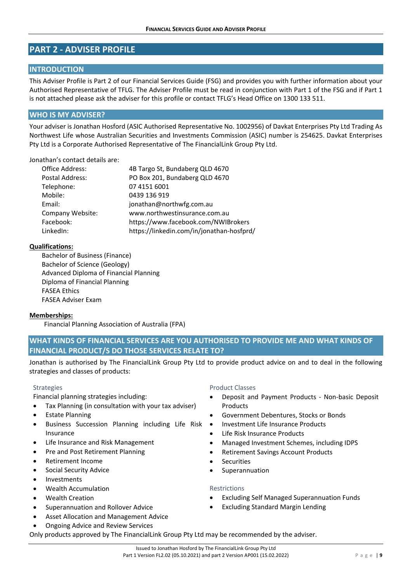# **PART 2 ‐ ADVISER PROFILE**

## **INTRODUCTION**

This Adviser Profile is Part 2 of our Financial Services Guide (FSG) and provides you with further information about your Authorised Representative of TFLG. The Adviser Profile must be read in conjunction with Part 1 of the FSG and if Part 1 is not attached please ask the adviser for this profile or contact TFLG's Head Office on 1300 133 511.

## **WHO IS MY ADVISER?**

Your adviser is Jonathan Hosford (ASIC Authorised Representative No. 1002956) of Davkat Enterprises Pty Ltd Trading As Northwest Life whose Australian Securities and Investments Commission (ASIC) number is 254625. Davkat Enterprises Pty Ltd is a Corporate Authorised Representative of The FinancialLink Group Pty Ltd.

#### Jonathan's contact details are:

| Office Address:        | 4B Targo St, Bundaberg QLD 4670           |
|------------------------|-------------------------------------------|
| <b>Postal Address:</b> | PO Box 201, Bundaberg QLD 4670            |
| Telephone:             | 07 4151 6001                              |
| Mobile:                | 0439 136 919                              |
| Email:                 | jonathan@northwfg.com.au                  |
| Company Website:       | www.northwestinsurance.com.au             |
| Facebook:              | https://www.facebook.com/NWIBrokers       |
| LinkedIn:              | https://linkedin.com/in/jonathan-hosfprd/ |

## **Qualifications:**

Bachelor of Business (Finance) Bachelor of Science (Geology) Advanced Diploma of Financial Planning Diploma of Financial Planning FASEA Ethics FASEA Adviser Exam

## **Memberships:**

Financial Planning Association of Australia (FPA)

**WHAT KINDS OF FINANCIAL SERVICES ARE YOU AUTHORISED TO PROVIDE ME AND WHAT KINDS OF FINANCIAL PRODUCT/S DO THOSE SERVICES RELATE TO?**

Jonathan is authorised by The FinancialLink Group Pty Ltd to provide product advice on and to deal in the following strategies and classes of products:

#### Strategies

Financial planning strategies including:

- Tax Planning (in consultation with your tax adviser)
- Estate Planning
- Business Succession Planning including Life Risk Insurance
- Life Insurance and Risk Management
- Pre and Post Retirement Planning
- Retirement Income
- Social Security Advice
- Investments
- Wealth Accumulation
- Wealth Creation
- Superannuation and Rollover Advice
- Asset Allocation and Management Advice
- Ongoing Advice and Review Services

Product Classes

- Deposit and Payment Products ‐ Non‐basic Deposit Products
- Government Debentures, Stocks or Bonds
- Investment Life Insurance Products
- Life Risk Insurance Products
- Managed Investment Schemes, including IDPS
- Retirement Savings Account Products
- Securities
- Superannuation

## Restrictions

- Excluding Self Managed Superannuation Funds
- Excluding Standard Margin Lending

Only products approved by The FinancialLink Group Pty Ltd may be recommended by the adviser.

#### Issued to Jonathan Hosford by The FinancialLink Group Pty Ltd Part 1 Version FL2.02 (05.10.2021) and part 2 Version AP001 (15.02.2022) Page | 9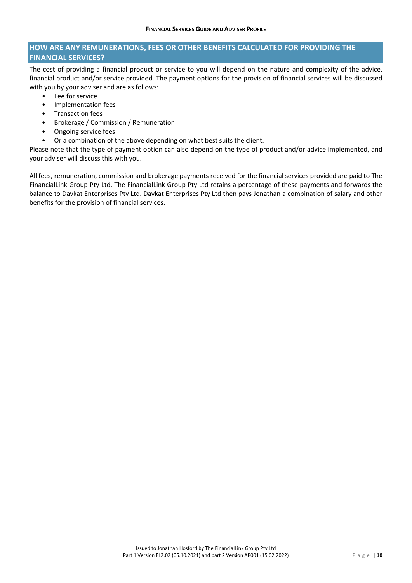# **HOW ARE ANY REMUNERATIONS, FEES OR OTHER BENEFITS CALCULATED FOR PROVIDING THE FINANCIAL SERVICES?**

The cost of providing a financial product or service to you will depend on the nature and complexity of the advice, financial product and/or service provided. The payment options for the provision of financial services will be discussed with you by your adviser and are as follows:

- Fee for service
- Implementation fees
- Transaction fees
- Brokerage / Commission / Remuneration
- Ongoing service fees
- Or a combination of the above depending on what best suits the client.

Please note that the type of payment option can also depend on the type of product and/or advice implemented, and your adviser will discuss this with you.

All fees, remuneration, commission and brokerage payments received for the financial services provided are paid to The FinancialLink Group Pty Ltd. The FinancialLink Group Pty Ltd retains a percentage of these payments and forwards the balance to Davkat Enterprises Pty Ltd. Davkat Enterprises Pty Ltd then pays Jonathan a combination of salary and other benefits for the provision of financial services.